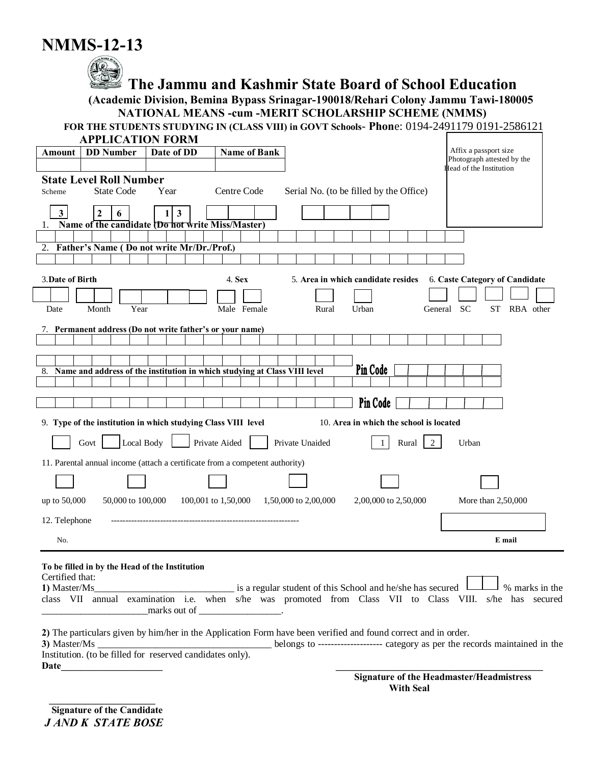## **NMMS-12-13**



# **The Jammu and Kashmir State Board of School Education**<br>(Academic Division, Bemina Bypass Srinagar-190018/Rehari Colony Jammu Tawi-180005 **NATIONAL MEANS -cum -MERIT SCHOLARSHIP SCHEME (NMMS)**

FOR THE STUDENTS STUDYING IN (CLASS VIII) in GOVT Schools- Phone: 0194-2491179 0191-2586121

| <b>APPLICATION FORM</b>                                                         |                                                                                                                                                                                               |                                                     |
|---------------------------------------------------------------------------------|-----------------------------------------------------------------------------------------------------------------------------------------------------------------------------------------------|-----------------------------------------------------|
| <b>DD</b> Number<br>Date of DD<br>Amount                                        | <b>Name of Bank</b>                                                                                                                                                                           | Affix a passport size<br>Photograph attested by the |
|                                                                                 |                                                                                                                                                                                               | <b>Head of the Institution</b>                      |
| <b>State Level Roll Number</b>                                                  |                                                                                                                                                                                               |                                                     |
| <b>State Code</b><br>Year<br>Scheme                                             | Centre Code<br>Serial No. (to be filled by the Office)                                                                                                                                        |                                                     |
| 3 <sup>1</sup><br>$\mathbf{3}$<br>$\mathbf{2}$<br>6<br>$\mathbf{1}$             |                                                                                                                                                                                               |                                                     |
| Name of the candidate (Do not write Miss/Master)<br>1.                          |                                                                                                                                                                                               |                                                     |
|                                                                                 |                                                                                                                                                                                               |                                                     |
| 2. Father's Name (Do not write Mr/Dr./Prof.)                                    |                                                                                                                                                                                               |                                                     |
|                                                                                 |                                                                                                                                                                                               |                                                     |
| 3. Date of Birth                                                                | 4. Sex<br>5. Area in which candidate resides                                                                                                                                                  | 6. Caste Category of Candidate                      |
|                                                                                 |                                                                                                                                                                                               |                                                     |
| Year<br>Date<br>Month                                                           | Male Female<br>Urban<br>Rural                                                                                                                                                                 | General SC<br>ST<br>RBA other                       |
| 7. Permanent address (Do not write father's or your name)                       |                                                                                                                                                                                               |                                                     |
|                                                                                 |                                                                                                                                                                                               |                                                     |
|                                                                                 |                                                                                                                                                                                               |                                                     |
| Name and address of the institution in which studying at Class VIII level<br>8. | Pin Code                                                                                                                                                                                      |                                                     |
|                                                                                 |                                                                                                                                                                                               |                                                     |
|                                                                                 | Pin Code                                                                                                                                                                                      |                                                     |
| 9. Type of the institution in which studying Class VIII level                   | 10. Area in which the school is located                                                                                                                                                       |                                                     |
| Local Body<br>Private Aided<br>Govt                                             | Private Unaided<br>Rural<br>2<br>$\mathbf{1}$                                                                                                                                                 | Urban                                               |
| 11. Parental annual income (attach a certificate from a competent authority)    |                                                                                                                                                                                               |                                                     |
|                                                                                 |                                                                                                                                                                                               |                                                     |
| 100,001 to 1,50,000<br>up to 50,000<br>50,000 to 100,000                        | 1,50,000 to 2,00,000<br>2,00,000 to 2,50,000                                                                                                                                                  | More than 2,50,000                                  |
| 12. Telephone                                                                   |                                                                                                                                                                                               |                                                     |
| No.                                                                             |                                                                                                                                                                                               | E mail                                              |
|                                                                                 |                                                                                                                                                                                               |                                                     |
| To be filled in by the Head of the Institution                                  |                                                                                                                                                                                               |                                                     |
| Certified that:<br>1) Master/Ms                                                 | is a regular student of this School and he/she has secured                                                                                                                                    | % marks in the                                      |
|                                                                                 | class VII annual examination i.e. when s/he was promoted from Class VII to Class VIII. s/he has secured                                                                                       |                                                     |
| ${\rm marks\ out\ of}\$                                                         |                                                                                                                                                                                               |                                                     |
|                                                                                 |                                                                                                                                                                                               |                                                     |
| 3) Master/Ms                                                                    | 2) The particulars given by him/her in the Application Form have been verified and found correct and in order.<br>belongs to ------------------ category as per the records maintained in the |                                                     |
| Institution. (to be filled for reserved candidates only).                       |                                                                                                                                                                                               |                                                     |
| Date                                                                            |                                                                                                                                                                                               |                                                     |
|                                                                                 |                                                                                                                                                                                               | <b>Signature of the Headmaster/Headmistress</b>     |

**With Seal**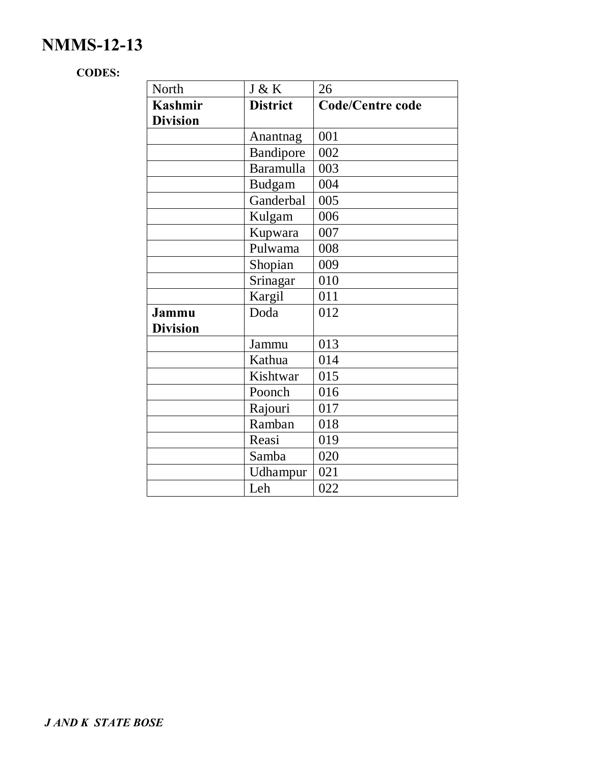## **NMMS-12-13**

#### **CODES:**

| North           | J & K            | 26                      |
|-----------------|------------------|-------------------------|
| <b>Kashmir</b>  | <b>District</b>  | <b>Code/Centre code</b> |
| <b>Division</b> |                  |                         |
|                 | Anantnag         | 001                     |
|                 | Bandipore        | 002                     |
|                 | <b>Baramulla</b> | 003                     |
|                 | <b>Budgam</b>    | 004                     |
|                 | Ganderbal        | 005                     |
|                 | Kulgam           | 006                     |
|                 | Kupwara          | 007                     |
|                 | Pulwama          | 008                     |
|                 | Shopian          | 009                     |
|                 | Srinagar         | 010                     |
|                 | Kargil           | 011                     |
| Jammu           | Doda             | 012                     |
| <b>Division</b> |                  |                         |
|                 | Jammu            | 013                     |
|                 | Kathua           | 014                     |
|                 | Kishtwar         | 015                     |
|                 | Poonch           | 016                     |
|                 | Rajouri          | 017                     |
|                 | Ramban           | 018                     |
|                 | Reasi            | 019                     |
|                 | Samba            | 020                     |
|                 | Udhampur         | 021                     |
|                 | Leh              | 022                     |